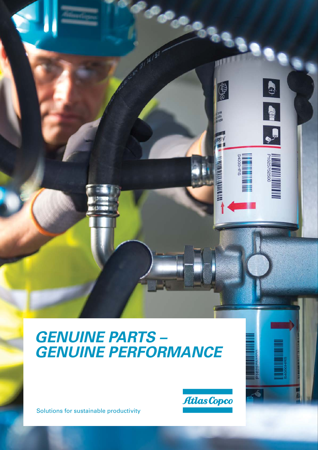



**Pop** 

 $\frac{1}{2}$ 

SHOOO+S

S

Solutions for sustainable productivity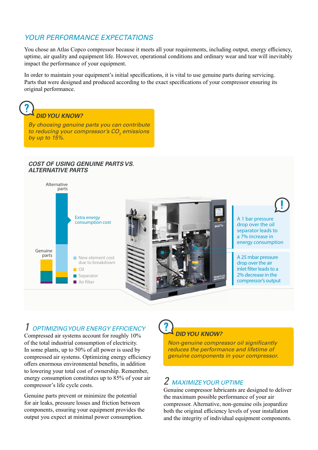### *YOUR PERFORMANCE EXPECTATIONS*

You chose an Atlas Copco compressor because it meets all your requirements, including output, energy efficiency, uptime, air quality and equipment life. However, operational conditions and ordinary wear and tear will inevitably impact the performance of your equipment.

In order to maintain your equipment's initial specifications, it is vital to use genuine parts during servicing. Parts that were designed and produced according to the exact specifications of your compressor ensuring its original performance.

### *DID YOU KNOW?*

*By choosing genuine parts you can contribute to reducing your compressor's CO<sub>2</sub> emissions by up to 15%.*

#### *COST OF USING GENUINE PARTS VS. ALTERNATIVE PARTS*



# *1 OPTIMIZING YOUR ENERGY EFFICIENCY*

Compressed air systems account for roughly 10% of the total industrial consumption of electricity. In some plants, up to 50% of all power is used by compressed air systems. Optimizing energy efficiency offers enormous environmental benefits, in addition to lowering your total cost of ownership. Remember, energy consumption constitutes up to 85% of your air compressor's life cycle costs.

Genuine parts prevent or minimize the potential for air leaks, pressure losses and friction between components, ensuring your equipment provides the output you expect at minimal power consumption.

### *DID YOU KNOW?*

*Non-genuine compressor oil significantly reduces the performance and lifetime of genuine components in your compressor.*

## *2 MAXIMIZE YOUR UPTIME*

Genuine compressor lubricants are designed to deliver the maximum possible performance of your air compressor. Alternative, non-genuine oils jeopardize both the original efficiency levels of your installation and the integrity of individual equipment components.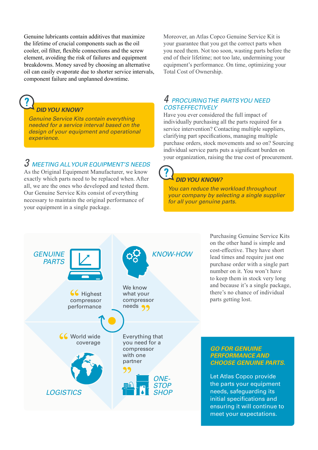Genuine lubricants contain additives that maximize the lifetime of crucial components such as the oil cooler, oil filter, flexible connections and the screw element, avoiding the risk of failures and equipment breakdowns. Money saved by choosing an alternative oil can easily evaporate due to shorter service intervals, component failure and unplanned downtime.

# *DID YOU KNOW?*

*Genuine Service Kits contain everything needed for a service interval based on the design of your equipment and operational experience.*

# *3 MEETING ALL YOUR EQUIPMENT'S NEEDS*

As the Original Equipment Manufacturer, we know exactly which parts need to be replaced when. After all, we are the ones who developed and tested them. Our Genuine Service Kits consist of everything necessary to maintain the original performance of your equipment in a single package.

Moreover, an Atlas Copco Genuine Service Kit is your guarantee that you get the correct parts when you need them. Not too soon, wasting parts before the end of their lifetime; not too late, undermining your equipment's performance. On time, optimizing your Total Cost of Ownership.

### *4 PROCURING THE PARTS YOU NEED COST-EFFECTIVELY*

Have you ever considered the full impact of individually purchasing all the parts required for a service intervention? Contacting multiple suppliers, clarifying part specifications, managing multiple purchase orders, stock movements and so on? Sourcing individual service parts puts a significant burden on your organization, raising the true cost of procurement.

# *DID YOU KNOW?*

*You can reduce the workload throughout your company by selecting a single supplier* 

*for all your genuine parts.*



Purchasing Genuine Service Kits on the other hand is simple and cost-effective. They have short lead times and require just one purchase order with a single part number on it. You won't have to keep them in stock very long and because it's a single package, there's no chance of individual parts getting lost.

#### *GO FOR GENUINE PERFORMANCE AND CHOOSE GENUINE PARTS.*

Let Atlas Copco provide the parts your equipment needs, safeguarding its initial specifications and ensuring it will continue to meet your expectations.